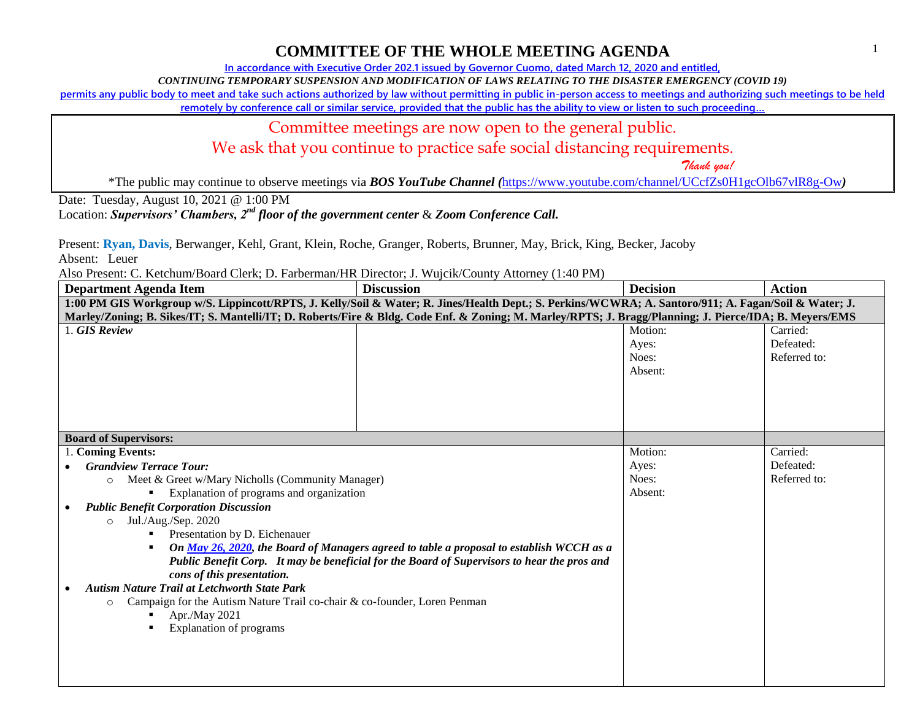1

## **COMMITTEE OF THE WHOLE MEETING AGENDA**

**In accordance with Executive Order 202.1 issued by Governor Cuomo, dated March 12, 2020 and entitled,**

*CONTINUING TEMPORARY SUSPENSION AND MODIFICATION OF LAWS RELATING TO THE DISASTER EMERGENCY (COVID 19)*

**permits any public body to meet and take such actions authorized by law without permitting in public in-person access to meetings and authorizing such meetings to be held** 

**remotely by conference call or similar service, provided that the public has the ability to view or listen to such proceeding…**

#### Committee meetings are now open to the general public.

We ask that you continue to practice safe social distancing requirements.

 *Thank you!*

\*The public may continue to observe meetings via *BOS YouTube Channel (*<https://www.youtube.com/channel/UCcfZs0H1gcOlb67vlR8g-Ow>*)*

Date: Tuesday, August 10, 2021 @ 1:00 PM

Location: *Supervisors' Chambers, 2nd floor of the government center* & *Zoom Conference Call.*

Present: **Ryan, Davis**, Berwanger, Kehl, Grant, Klein, Roche, Granger, Roberts, Brunner, May, Brick, King, Becker, Jacoby

Absent: Leuer

Also Present: C. Ketchum/Board Clerk; D. Farberman/HR Director; J. Wujcik/County Attorney (1:40 PM)

| Department Agenda Item                                                                                                                                  | $\alpha$ . Recent $\beta$ of $\alpha$ of $\alpha$ , $\beta$ . The central time $\beta$ incered, $\beta$ . The country through $\gamma$ (1.10 1.11)<br><b>Discussion</b> | <b>Decision</b> | <b>Action</b> |  |  |
|---------------------------------------------------------------------------------------------------------------------------------------------------------|-------------------------------------------------------------------------------------------------------------------------------------------------------------------------|-----------------|---------------|--|--|
| 1:00 PM GIS Workgroup w/S. Lippincott/RPTS, J. Kelly/Soil & Water; R. Jines/Health Dept.; S. Perkins/WCWRA; A. Santoro/911; A. Fagan/Soil & Water; J.   |                                                                                                                                                                         |                 |               |  |  |
| Marley/Zoning; B. Sikes/IT; S. Mantelli/IT; D. Roberts/Fire & Bldg. Code Enf. & Zoning; M. Marley/RPTS; J. Bragg/Planning; J. Pierce/IDA; B. Meyers/EMS |                                                                                                                                                                         |                 |               |  |  |
| . GIS Review                                                                                                                                            |                                                                                                                                                                         | Motion:         | Carried:      |  |  |
|                                                                                                                                                         |                                                                                                                                                                         | Ayes:           | Defeated:     |  |  |
|                                                                                                                                                         |                                                                                                                                                                         | Noes:           | Referred to:  |  |  |
|                                                                                                                                                         |                                                                                                                                                                         | Absent:         |               |  |  |
|                                                                                                                                                         |                                                                                                                                                                         |                 |               |  |  |
|                                                                                                                                                         |                                                                                                                                                                         |                 |               |  |  |
|                                                                                                                                                         |                                                                                                                                                                         |                 |               |  |  |
| <b>Board of Supervisors:</b>                                                                                                                            |                                                                                                                                                                         |                 |               |  |  |
| 1. Coming Events:                                                                                                                                       |                                                                                                                                                                         | Motion:         | Carried:      |  |  |
| <b>Grandview Terrace Tour:</b>                                                                                                                          |                                                                                                                                                                         | Ayes:           | Defeated:     |  |  |
| Meet & Greet w/Mary Nicholls (Community Manager)                                                                                                        |                                                                                                                                                                         | Noes:           | Referred to:  |  |  |
| $\circ$<br>Explanation of programs and organization                                                                                                     |                                                                                                                                                                         | Absent:         |               |  |  |
| <b>Public Benefit Corporation Discussion</b>                                                                                                            |                                                                                                                                                                         |                 |               |  |  |
| Jul./Aug./Sep. 2020                                                                                                                                     |                                                                                                                                                                         |                 |               |  |  |
| $\circ$<br>Presentation by D. Eichenauer                                                                                                                |                                                                                                                                                                         |                 |               |  |  |
| On May 26, 2020, the Board of Managers agreed to table a proposal to establish WCCH as a<br>$\blacksquare$                                              |                                                                                                                                                                         |                 |               |  |  |
| Public Benefit Corp. It may be beneficial for the Board of Supervisors to hear the pros and                                                             |                                                                                                                                                                         |                 |               |  |  |
| cons of this presentation.                                                                                                                              |                                                                                                                                                                         |                 |               |  |  |
| <b>Autism Nature Trail at Letchworth State Park</b>                                                                                                     |                                                                                                                                                                         |                 |               |  |  |
| Campaign for the Autism Nature Trail co-chair & co-founder, Loren Penman<br>$\circ$                                                                     |                                                                                                                                                                         |                 |               |  |  |
| Apr./May 2021                                                                                                                                           |                                                                                                                                                                         |                 |               |  |  |
| <b>Explanation of programs</b>                                                                                                                          |                                                                                                                                                                         |                 |               |  |  |
|                                                                                                                                                         |                                                                                                                                                                         |                 |               |  |  |
|                                                                                                                                                         |                                                                                                                                                                         |                 |               |  |  |
|                                                                                                                                                         |                                                                                                                                                                         |                 |               |  |  |
|                                                                                                                                                         |                                                                                                                                                                         |                 |               |  |  |